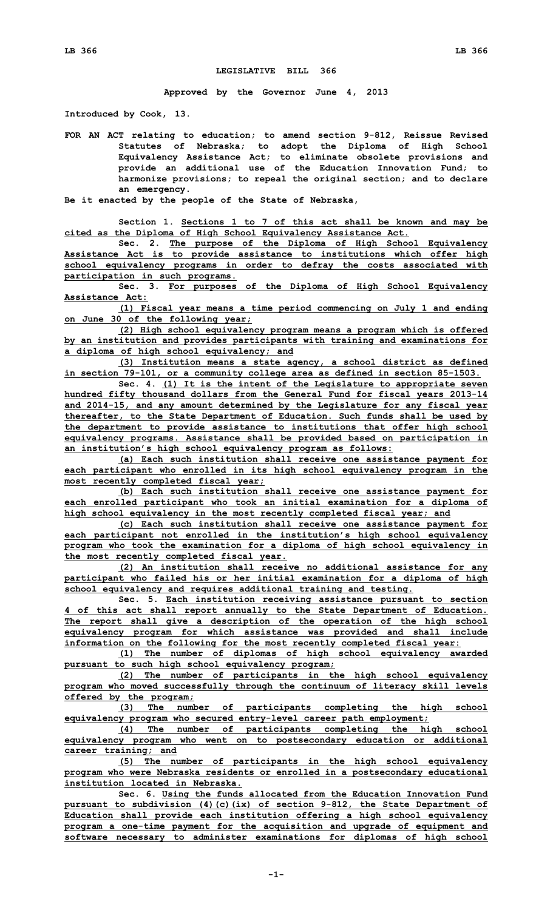## **LEGISLATIVE BILL 366**

**Approved by the Governor June 4, 2013**

**Introduced by Cook, 13.**

**FOR AN ACT relating to education; to amend section 9-812, Reissue Revised Statutes of Nebraska; to adopt the Diploma of High School Equivalency Assistance Act; to eliminate obsolete provisions and provide an additional use of the Education Innovation Fund; to harmonize provisions; to repeal the original section; and to declare an emergency.**

**Be it enacted by the people of the State of Nebraska,**

**Section 1. Sections 1 to 7 of this act shall be known and may be cited as the Diploma of High School Equivalency Assistance Act.**

**Sec. 2. The purpose of the Diploma of High School Equivalency Assistance Act is to provide assistance to institutions which offer high school equivalency programs in order to defray the costs associated with participation in such programs.**

**Sec. 3. For purposes of the Diploma of High School Equivalency Assistance Act:**

**(1) Fiscal year means <sup>a</sup> time period commencing on July 1 and ending on June 30 of the following year;**

**(2) High school equivalency program means <sup>a</sup> program which is offered by an institution and provides participants with training and examinations for <sup>a</sup> diploma of high school equivalency; and**

**(3) Institution means <sup>a</sup> state agency, <sup>a</sup> school district as defined in section 79-101, or <sup>a</sup> community college area as defined in section 85-1503.**

**Sec. 4. (1) It is the intent of the Legislature to appropriate seven hundred fifty thousand dollars from the General Fund for fiscal years 2013-14 and 2014-15, and any amount determined by the Legislature for any fiscal year thereafter, to the State Department of Education. Such funds shall be used by the department to provide assistance to institutions that offer high school equivalency programs. Assistance shall be provided based on participation in an institution's high school equivalency program as follows:**

**(a) Each such institution shall receive one assistance payment for each participant who enrolled in its high school equivalency program in the most recently completed fiscal year;**

**(b) Each such institution shall receive one assistance payment for each enrolled participant who took an initial examination for <sup>a</sup> diploma of high school equivalency in the most recently completed fiscal year; and**

**(c) Each such institution shall receive one assistance payment for each participant not enrolled in the institution's high school equivalency program who took the examination for <sup>a</sup> diploma of high school equivalency in the most recently completed fiscal year.**

**(2) An institution shall receive no additional assistance for any participant who failed his or her initial examination for <sup>a</sup> diploma of high school equivalency and requires additional training and testing.**

**Sec. 5. Each institution receiving assistance pursuant to section 4 of this act shall report annually to the State Department of Education. The report shall give <sup>a</sup> description of the operation of the high school equivalency program for which assistance was provided and shall include information on the following for the most recently completed fiscal year:**

**(1) The number of diplomas of high school equivalency awarded pursuant to such high school equivalency program;**

**(2) The number of participants in the high school equivalency program who moved successfully through the continuum of literacy skill levels offered by the program;**

**(3) The number of participants completing the high school equivalency program who secured entry-level career path employment;**

**(4) The number of participants completing the high school equivalency program who went on to postsecondary education or additional career training; and**

**(5) The number of participants in the high school equivalency program who were Nebraska residents or enrolled in <sup>a</sup> postsecondary educational institution located in Nebraska.**

**Sec. 6. Using the funds allocated from the Education Innovation Fund pursuant to subdivision (4)(c)(ix) of section 9-812, the State Department of Education shall provide each institution offering <sup>a</sup> high school equivalency program <sup>a</sup> one-time payment for the acquisition and upgrade of equipment and software necessary to administer examinations for diplomas of high school**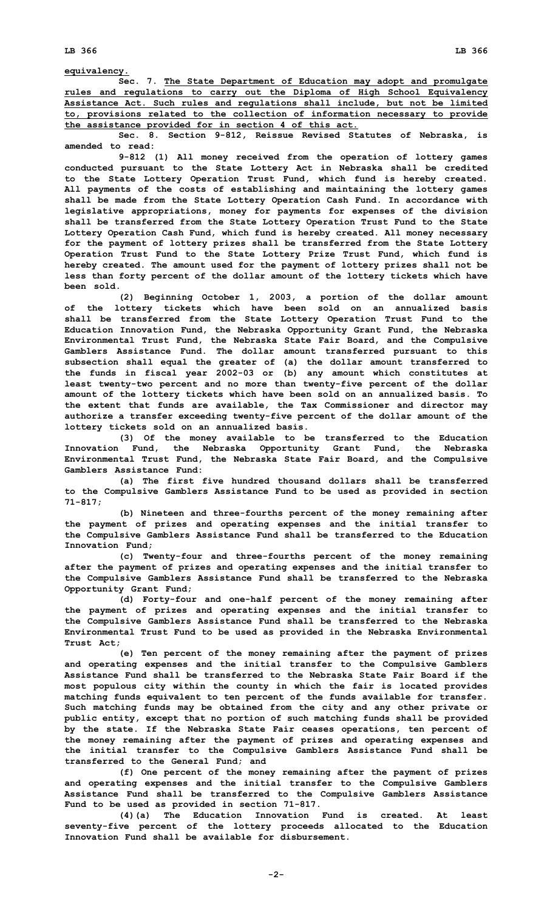**equivalency.**

**Sec. 7. The State Department of Education may adopt and promulgate rules and regulations to carry out the Diploma of High School Equivalency Assistance Act. Such rules and regulations shall include, but not be limited to, provisions related to the collection of information necessary to provide the assistance provided for in section 4 of this act.**

**Sec. 8. Section 9-812, Reissue Revised Statutes of Nebraska, is amended to read:**

**9-812 (1) All money received from the operation of lottery games conducted pursuant to the State Lottery Act in Nebraska shall be credited to the State Lottery Operation Trust Fund, which fund is hereby created. All payments of the costs of establishing and maintaining the lottery games shall be made from the State Lottery Operation Cash Fund. In accordance with legislative appropriations, money for payments for expenses of the division shall be transferred from the State Lottery Operation Trust Fund to the State Lottery Operation Cash Fund, which fund is hereby created. All money necessary for the payment of lottery prizes shall be transferred from the State Lottery Operation Trust Fund to the State Lottery Prize Trust Fund, which fund is hereby created. The amount used for the payment of lottery prizes shall not be less than forty percent of the dollar amount of the lottery tickets which have been sold.**

**(2) Beginning October 1, 2003, <sup>a</sup> portion of the dollar amount of the lottery tickets which have been sold on an annualized basis shall be transferred from the State Lottery Operation Trust Fund to the Education Innovation Fund, the Nebraska Opportunity Grant Fund, the Nebraska Environmental Trust Fund, the Nebraska State Fair Board, and the Compulsive Gamblers Assistance Fund. The dollar amount transferred pursuant to this subsection shall equal the greater of (a) the dollar amount transferred to the funds in fiscal year 2002-03 or (b) any amount which constitutes at least twenty-two percent and no more than twenty-five percent of the dollar amount of the lottery tickets which have been sold on an annualized basis. To the extent that funds are available, the Tax Commissioner and director may authorize <sup>a</sup> transfer exceeding twenty-five percent of the dollar amount of the lottery tickets sold on an annualized basis.**

**(3) Of the money available to be transferred to the Education Innovation Fund, the Nebraska Opportunity Grant Fund, the Nebraska Environmental Trust Fund, the Nebraska State Fair Board, and the Compulsive Gamblers Assistance Fund:**

**(a) The first five hundred thousand dollars shall be transferred to the Compulsive Gamblers Assistance Fund to be used as provided in section 71-817;**

**(b) Nineteen and three-fourths percent of the money remaining after the payment of prizes and operating expenses and the initial transfer to the Compulsive Gamblers Assistance Fund shall be transferred to the Education Innovation Fund;**

**(c) Twenty-four and three-fourths percent of the money remaining after the payment of prizes and operating expenses and the initial transfer to the Compulsive Gamblers Assistance Fund shall be transferred to the Nebraska Opportunity Grant Fund;**

**(d) Forty-four and one-half percent of the money remaining after the payment of prizes and operating expenses and the initial transfer to the Compulsive Gamblers Assistance Fund shall be transferred to the Nebraska Environmental Trust Fund to be used as provided in the Nebraska Environmental Trust Act;**

**(e) Ten percent of the money remaining after the payment of prizes and operating expenses and the initial transfer to the Compulsive Gamblers Assistance Fund shall be transferred to the Nebraska State Fair Board if the most populous city within the county in which the fair is located provides matching funds equivalent to ten percent of the funds available for transfer. Such matching funds may be obtained from the city and any other private or public entity, except that no portion of such matching funds shall be provided by the state. If the Nebraska State Fair ceases operations, ten percent of the money remaining after the payment of prizes and operating expenses and the initial transfer to the Compulsive Gamblers Assistance Fund shall be transferred to the General Fund; and**

**(f) One percent of the money remaining after the payment of prizes and operating expenses and the initial transfer to the Compulsive Gamblers Assistance Fund shall be transferred to the Compulsive Gamblers Assistance Fund to be used as provided in section 71-817.**

**(4)(a) The Education Innovation Fund is created. At least seventy-five percent of the lottery proceeds allocated to the Education Innovation Fund shall be available for disbursement.**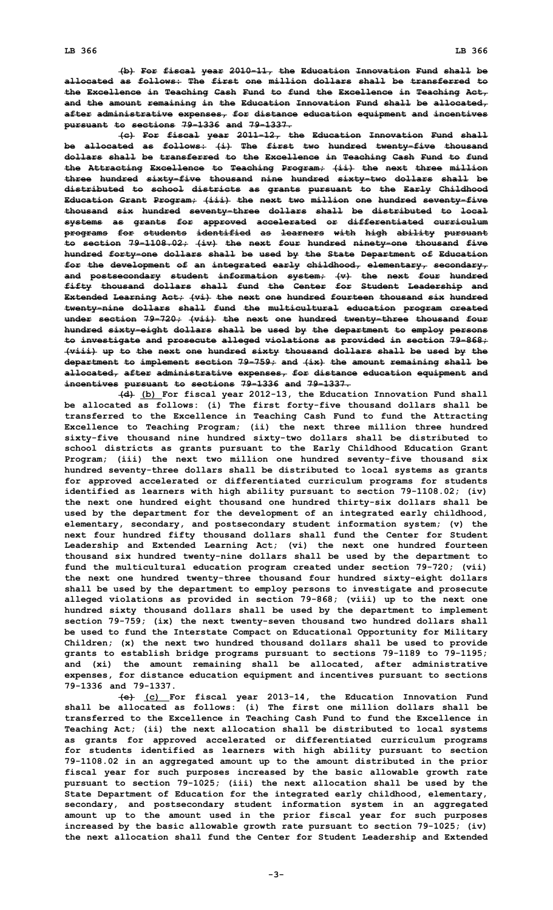**(b) For fiscal year 2010-11, the Education Innovation Fund shall be allocated as follows: The first one million dollars shall be transferred to the Excellence in Teaching Cash Fund to fund the Excellence in Teaching Act, and the amount remaining in the Education Innovation Fund shall be allocated, after administrative expenses, for distance education equipment and incentives pursuant to sections 79-1336 and 79-1337.**

**(c) For fiscal year 2011-12, the Education Innovation Fund shall be allocated as follows: (i) The first two hundred twenty-five thousand dollars shall be transferred to the Excellence in Teaching Cash Fund to fund the Attracting Excellence to Teaching Program; (ii) the next three million three hundred sixty-five thousand nine hundred sixty-two dollars shall be distributed to school districts as grants pursuant to the Early Childhood Education Grant Program; (iii) the next two million one hundred seventy-five thousand six hundred seventy-three dollars shall be distributed to local systems as grants for approved accelerated or differentiated curriculum programs for students identified as learners with high ability pursuant to section 79-1108.02; (iv) the next four hundred ninety-one thousand five hundred forty-one dollars shall be used by the State Department of Education for the development of an integrated early childhood, elementary, secondary, and postsecondary student information system; (v) the next four hundred fifty thousand dollars shall fund the Center for Student Leadership and Extended Learning Act; (vi) the next one hundred fourteen thousand six hundred twenty-nine dollars shall fund the multicultural education program created under section 79-720; (vii) the next one hundred twenty-three thousand four hundred sixty-eight dollars shall be used by the department to employ persons to investigate and prosecute alleged violations as provided in section 79-868; (viii) up to the next one hundred sixty thousand dollars shall be used by the department to implement section 79-759; and (ix) the amount remaining shall be allocated, after administrative expenses, for distance education equipment and incentives pursuant to sections 79-1336 and 79-1337.**

**(d) (b) For fiscal year 2012-13, the Education Innovation Fund shall be allocated as follows: (i) The first forty-five thousand dollars shall be transferred to the Excellence in Teaching Cash Fund to fund the Attracting Excellence to Teaching Program; (ii) the next three million three hundred sixty-five thousand nine hundred sixty-two dollars shall be distributed to school districts as grants pursuant to the Early Childhood Education Grant Program; (iii) the next two million one hundred seventy-five thousand six hundred seventy-three dollars shall be distributed to local systems as grants for approved accelerated or differentiated curriculum programs for students identified as learners with high ability pursuant to section 79-1108.02; (iv) the next one hundred eight thousand one hundred thirty-six dollars shall be used by the department for the development of an integrated early childhood, elementary, secondary, and postsecondary student information system; (v) the next four hundred fifty thousand dollars shall fund the Center for Student Leadership and Extended Learning Act; (vi) the next one hundred fourteen thousand six hundred twenty-nine dollars shall be used by the department to fund the multicultural education program created under section 79-720; (vii) the next one hundred twenty-three thousand four hundred sixty-eight dollars shall be used by the department to employ persons to investigate and prosecute alleged violations as provided in section 79-868; (viii) up to the next one hundred sixty thousand dollars shall be used by the department to implement section 79-759; (ix) the next twenty-seven thousand two hundred dollars shall be used to fund the Interstate Compact on Educational Opportunity for Military Children; (x) the next two hundred thousand dollars shall be used to provide grants to establish bridge programs pursuant to sections 79-1189 to 79-1195; and (xi) the amount remaining shall be allocated, after administrative expenses, for distance education equipment and incentives pursuant to sections 79-1336 and 79-1337.**

**(e) (c) For fiscal year 2013-14, the Education Innovation Fund shall be allocated as follows: (i) The first one million dollars shall be transferred to the Excellence in Teaching Cash Fund to fund the Excellence in Teaching Act; (ii) the next allocation shall be distributed to local systems as grants for approved accelerated or differentiated curriculum programs for students identified as learners with high ability pursuant to section 79-1108.02 in an aggregated amount up to the amount distributed in the prior fiscal year for such purposes increased by the basic allowable growth rate pursuant to section 79-1025; (iii) the next allocation shall be used by the State Department of Education for the integrated early childhood, elementary, secondary, and postsecondary student information system in an aggregated amount up to the amount used in the prior fiscal year for such purposes increased by the basic allowable growth rate pursuant to section 79-1025; (iv) the next allocation shall fund the Center for Student Leadership and Extended**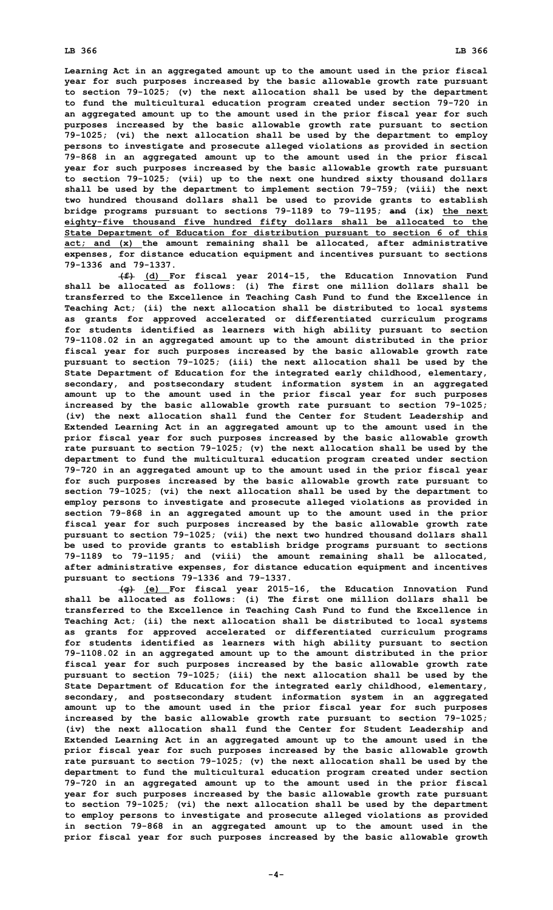**Learning Act in an aggregated amount up to the amount used in the prior fiscal year for such purposes increased by the basic allowable growth rate pursuant to section 79-1025; (v) the next allocation shall be used by the department to fund the multicultural education program created under section 79-720 in an aggregated amount up to the amount used in the prior fiscal year for such purposes increased by the basic allowable growth rate pursuant to section 79-1025; (vi) the next allocation shall be used by the department to employ persons to investigate and prosecute alleged violations as provided in section 79-868 in an aggregated amount up to the amount used in the prior fiscal year for such purposes increased by the basic allowable growth rate pursuant to section 79-1025; (vii) up to the next one hundred sixty thousand dollars shall be used by the department to implement section 79-759; (viii) the next two hundred thousand dollars shall be used to provide grants to establish bridge programs pursuant to sections 79-1189 to 79-1195; and (ix) the next eighty-five thousand five hundred fifty dollars shall be allocated to the State Department of Education for distribution pursuant to section 6 of this act; and (x) the amount remaining shall be allocated, after administrative expenses, for distance education equipment and incentives pursuant to sections 79-1336 and 79-1337.**

**(f) (d) For fiscal year 2014-15, the Education Innovation Fund shall be allocated as follows: (i) The first one million dollars shall be transferred to the Excellence in Teaching Cash Fund to fund the Excellence in Teaching Act; (ii) the next allocation shall be distributed to local systems as grants for approved accelerated or differentiated curriculum programs for students identified as learners with high ability pursuant to section 79-1108.02 in an aggregated amount up to the amount distributed in the prior fiscal year for such purposes increased by the basic allowable growth rate pursuant to section 79-1025; (iii) the next allocation shall be used by the State Department of Education for the integrated early childhood, elementary, secondary, and postsecondary student information system in an aggregated amount up to the amount used in the prior fiscal year for such purposes increased by the basic allowable growth rate pursuant to section 79-1025; (iv) the next allocation shall fund the Center for Student Leadership and Extended Learning Act in an aggregated amount up to the amount used in the prior fiscal year for such purposes increased by the basic allowable growth rate pursuant to section 79-1025; (v) the next allocation shall be used by the department to fund the multicultural education program created under section 79-720 in an aggregated amount up to the amount used in the prior fiscal year for such purposes increased by the basic allowable growth rate pursuant to section 79-1025; (vi) the next allocation shall be used by the department to employ persons to investigate and prosecute alleged violations as provided in section 79-868 in an aggregated amount up to the amount used in the prior fiscal year for such purposes increased by the basic allowable growth rate pursuant to section 79-1025; (vii) the next two hundred thousand dollars shall be used to provide grants to establish bridge programs pursuant to sections 79-1189 to 79-1195; and (viii) the amount remaining shall be allocated, after administrative expenses, for distance education equipment and incentives pursuant to sections 79-1336 and 79-1337.**

**(g) (e) For fiscal year 2015-16, the Education Innovation Fund shall be allocated as follows: (i) The first one million dollars shall be transferred to the Excellence in Teaching Cash Fund to fund the Excellence in Teaching Act; (ii) the next allocation shall be distributed to local systems as grants for approved accelerated or differentiated curriculum programs for students identified as learners with high ability pursuant to section 79-1108.02 in an aggregated amount up to the amount distributed in the prior fiscal year for such purposes increased by the basic allowable growth rate pursuant to section 79-1025; (iii) the next allocation shall be used by the State Department of Education for the integrated early childhood, elementary, secondary, and postsecondary student information system in an aggregated amount up to the amount used in the prior fiscal year for such purposes increased by the basic allowable growth rate pursuant to section 79-1025; (iv) the next allocation shall fund the Center for Student Leadership and Extended Learning Act in an aggregated amount up to the amount used in the prior fiscal year for such purposes increased by the basic allowable growth rate pursuant to section 79-1025; (v) the next allocation shall be used by the department to fund the multicultural education program created under section 79-720 in an aggregated amount up to the amount used in the prior fiscal year for such purposes increased by the basic allowable growth rate pursuant to section 79-1025; (vi) the next allocation shall be used by the department to employ persons to investigate and prosecute alleged violations as provided in section 79-868 in an aggregated amount up to the amount used in the prior fiscal year for such purposes increased by the basic allowable growth**